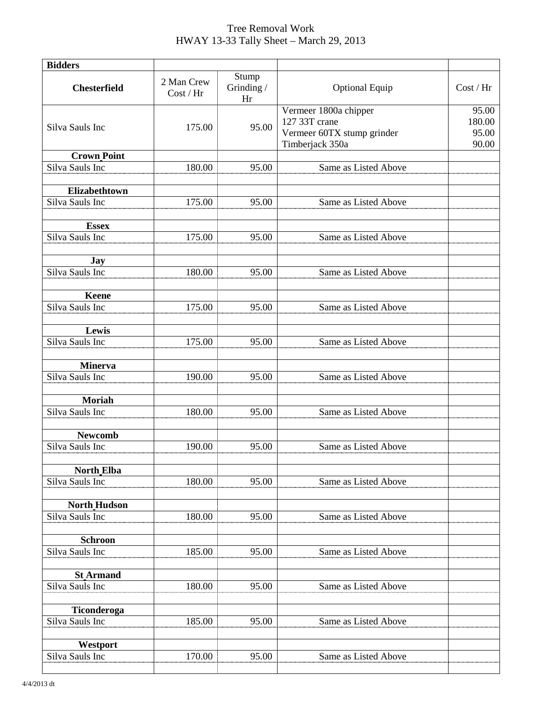## Tree Removal Work HWAY 13-33 Tally Sheet – March 29, 2013

| <b>Bidders</b>                  |                         |                           |                                                                                         |                                   |
|---------------------------------|-------------------------|---------------------------|-----------------------------------------------------------------------------------------|-----------------------------------|
| <b>Chesterfield</b>             | 2 Man Crew<br>Cost / Hr | Stump<br>Grinding /<br>Hr | <b>Optional Equip</b>                                                                   | Cost / Hr                         |
| Silva Sauls Inc                 | 175.00                  | 95.00                     | Vermeer 1800a chipper<br>127 33T crane<br>Vermeer 60TX stump grinder<br>Timberjack 350a | 95.00<br>180.00<br>95.00<br>90.00 |
| <b>Crown Point</b>              |                         |                           |                                                                                         |                                   |
| Silva Sauls Inc                 | 180.00                  | 95.00                     | Same as Listed Above                                                                    |                                   |
| Elizabethtown                   |                         |                           |                                                                                         |                                   |
| Silva Sauls Inc                 | 175.00                  | 95.00                     | Same as Listed Above                                                                    |                                   |
| <b>Essex</b><br>Silva Sauls Inc | 175.00                  | 95.00                     | Same as Listed Above                                                                    |                                   |
|                                 |                         |                           |                                                                                         |                                   |
| <b>Jay</b><br>Silva Sauls Inc   | 180.00                  | 95.00                     | Same as Listed Above                                                                    |                                   |
|                                 |                         |                           |                                                                                         |                                   |
| <b>Keene</b><br>Silva Sauls Inc | 175.00                  | 95.00                     | Same as Listed Above                                                                    |                                   |
| Lewis                           |                         |                           |                                                                                         |                                   |
| Silva Sauls Inc                 | 175.00                  | 95.00                     | Same as Listed Above                                                                    |                                   |
| <b>Minerva</b>                  |                         |                           |                                                                                         |                                   |
| Silva Sauls Inc                 | 190.00                  | 95.00                     | Same as Listed Above                                                                    |                                   |
| <b>Moriah</b>                   |                         |                           |                                                                                         |                                   |
| Silva Sauls Inc                 | 180.00                  | 95.00                     | Same as Listed Above                                                                    |                                   |
| <b>Newcomb</b>                  |                         |                           |                                                                                         |                                   |
| Silva Sauls Inc                 | 190.00                  | 95.00                     | Same as Listed Above                                                                    |                                   |
| <b>North Elba</b>               |                         |                           |                                                                                         |                                   |
| Silva Sauls Inc                 | 180.00                  | 95.00                     | Same as Listed Above                                                                    |                                   |
| <b>North Hudson</b>             |                         |                           |                                                                                         |                                   |
| Silva Sauls Inc                 | 180.00                  | 95.00                     | Same as Listed Above                                                                    |                                   |
| <b>Schroon</b>                  |                         |                           |                                                                                         |                                   |
| Silva Sauls Inc                 | 185.00                  | 95.00                     | Same as Listed Above                                                                    |                                   |
| <b>St Armand</b>                |                         |                           |                                                                                         |                                   |
| Silva Sauls Inc                 | 180.00                  | 95.00                     | Same as Listed Above                                                                    |                                   |
| Ticonderoga                     |                         |                           |                                                                                         |                                   |
| Silva Sauls Inc                 | 185.00                  | 95.00                     | Same as Listed Above                                                                    |                                   |
| Westport                        |                         |                           |                                                                                         |                                   |
| Silva Sauls Inc                 | 170.00                  | 95.00                     | Same as Listed Above                                                                    |                                   |